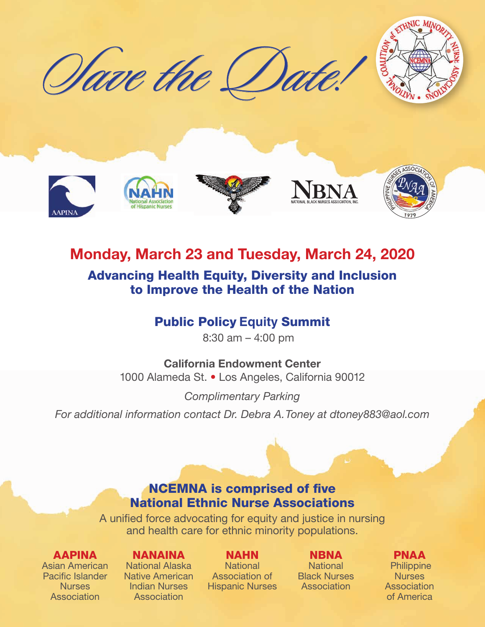





# Monday, March 23 and Tuesday, March 24, 2020 Advancing Health Equity, Diversity and Inclusion to Improve the Health of the Nation

# Public Policy **Equity** Summit

8:30 am – 4:00 pm

California Endowment Center 1000 Alameda St. • Los Angeles, California 90012

*Complimentary Parking For additional information contact Dr. Debra A. Toney at dtoney883@aol.com*

# NCEMNA is comprised of five National Ethnic Nurse Associations

A unified force advocating for equity and justice in nursing and health care for ethnic minority populations.

## AAPINA

Asian American Pacific Islander **Nurses Association** 

## NANAINA

National Alaska Native American Indian Nurses Association

# NAHN

**National** Association of Hispanic Nurses

### **NBNA**

**National** Black Nurses Association

# PNAA

**Philippine Nurses** Association of America